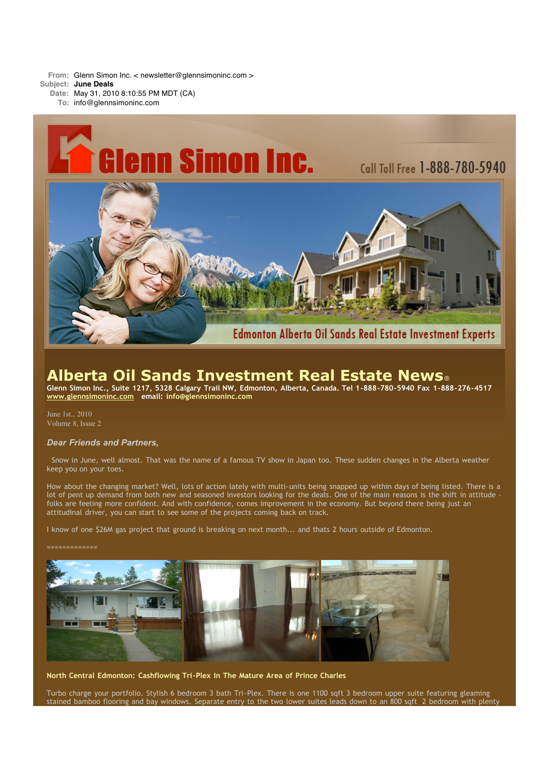**From:** Glenn Simon Inc. < newsletter@glennsimoninc.com > **Subject: June Deals**

**Date:** May 31, 2010 8:10:55 PM MDT (CA)

**To:** info@glennsimoninc.com



# **Alberta Oil Sands Investment Real Estate News**®

Glenn Simon Inc., Suite 1217, 5328 Calgary Trail NW, Edmonton, Alberta, Canada. Tel 1-888-780-5940 Fax 1-888-276-4517 **[www.glennsimoninc.com](http://www.glennsimoninc.com/) email: [info@glennsimoninc.com](mailto:info@glennsimoninc.com)**

June 1st., 2010 Volume 8, Issue 2

## *Dear Friends and Partners,*

Snow in June, well almost. That was the name of a famous TV show in Japan too. These sudden changes in the Alberta weather keep you on your toes.

How about the changing market? Well, lots of action lately with multi-units being snapped up within days of being listed. There is a lot of pent up demand from both new and seasoned investors looking for the deals. One of the main reasons is the shift in attitude folks are feeling more confident. And with confidence, comes improvement in the economy. But beyond there being just an attitudinal driver, you can start to see some of the projects coming back on track.

I know of one \$26M gas project that ground is breaking on next month... and thats 2 hours outside of Edmonton.



**North Central Edmonton: Cashflowing Tri-Plex In The Mature Area of Prince Charles**

Turbo charge your portfolio. Stylish 6 bedroom 3 bath Tri-Plex. There is one 1100 sqft 3 bedroom upper suite featuring gleaming stained bamboo flooring and bay windows. Separate entry to the two lower suites leads down to an 800 sqft 2 bedroom with plenty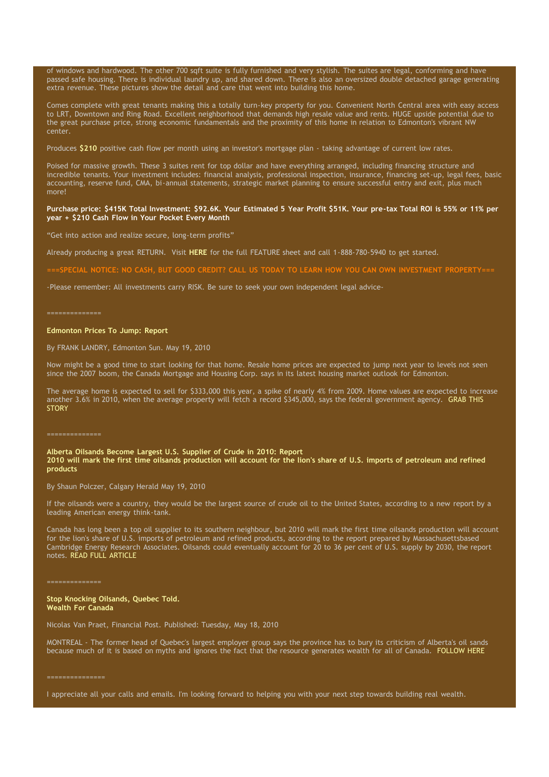of windows and hardwood. The other 700 sqft suite is fully furnished and very stylish. The suites are legal, conforming and have passed safe housing. There is individual laundry up, and shared down. There is also an oversized double detached garage generating extra revenue. These pictures show the detail and care that went into building this home.

Comes complete with great tenants making this a totally turn-key property for you. Convenient North Central area with easy access to LRT, Downtown and Ring Road. Excellent neighborhood that demands high resale value and rents. HUGE upside potential due to the great purchase price, strong economic fundamentals and the proximity of this home in relation to Edmonton's vibrant NW center.

Produces [\\$210](http://www.glennsimoninc.com/featured_properties.php) positive cash flow per month using an investor's mortgage plan - taking advantage of current low rates.

Poised for massive growth. These 3 suites rent for top dollar and have everything arranged, including financing structure and incredible tenants. Your investment includes: financial analysis, professional inspection, insurance, financing set-up, legal fees, basic accounting, reserve fund, CMA, bi-annual statements, strategic market planning to ensure successful entry and exit, plus much more!

### Purchase price: \$415K Total [Investment:](http://www.glennsimoninc.com/featured_properties.php) \$92.6K. Your Estimated 5 Year Profit \$51K. Your pre-tax Total ROI is 55% or 11% per **year + \$210 Cash Flow in Your Pocket Every Month**

"Get into action and realize secure, long-term profits"

Already producing a great RETURN. Visit **[HERE](http://www.glennsimoninc.com/upload/1275336291_tower.road.quikrpt.pdf)** for the full FEATURE sheet and call 1-888-780-5940 to get started.

ECIAL NOTICE: NO CASH, BUT GOOD CREDIT? CALL US TODAY TO LEARN HOW YOU CAN OWN INVESTMENT PROPERTY:

-Please remember: All investments carry RISK. Be sure to seek your own independent legal advice-

#### ==============

#### **Edmonton Prices To Jump: Report**

By FRANK LANDRY, Edmonton Sun. May 19, 2010

Now might be a good time to start looking for that home. Resale home prices are expected to jump next year to levels not seen since the 2007 boom, the Canada Mortgage and Housing Corp. says in its latest housing market outlook for Edmonton.

The average home is expected to sell for \$333,000 this year, a spike of nearly 4% from 2009. Home values are expected to increase another 3.6% in 2010, when the average property will fetch a record \$345,000, says the federal [government](http://www.edmontonsun.com/news/edmonton/2010/05/19/14009811.html) agency. GRAB THIS **STORY** 

#### **Alberta Oilsands Become Largest U.S. Supplier of Crude in 2010: Report** 2010 will mark the first time oilsands production will account for the lion's share of U.S. imports of petroleum and refined **products**

By Shaun Polczer, Calgary Herald May 19, 2010

If the oilsands were a country, they would be the largest source of crude oil to the United States, according to a new report by a leading American energy think-tank.

Canada has long been a top oil supplier to its southern neighbour, but 2010 will mark the first time oilsands production will account for the lion's share of U.S. imports of petroleum and refined products, according to the report prepared by Massachusettsbased Cambridge Energy Research Associates. Oilsands could eventually account for 20 to 36 per cent of U.S. supply by 2030, the report notes. READ FULL [ARTICLE](http://www.vancouversun.com/business/Alberta+oilsands+become+largest+supplier+crude+2010+Report/3046820/story.html)

#### ==============

**Stop Knocking Oilsands, Quebec Told. Wealth For Canada**

Nicolas Van Praet, Financial Post. Published: Tuesday, May 18, 2010

MONTREAL - The former head of Quebec's largest employer group says the province has to bury its criticism of Alberta's oil sands because much of it is based on myths and ignores the fact that the resource generates wealth for all of Canada. [FOLLOW](http://www.financialpost.com/news-sectors/story.html?id=3040076#ixzz0pNEZ4lpS) HERE

I appreciate all your calls and emails. I'm looking forward to helping you with your next step towards building real wealth.